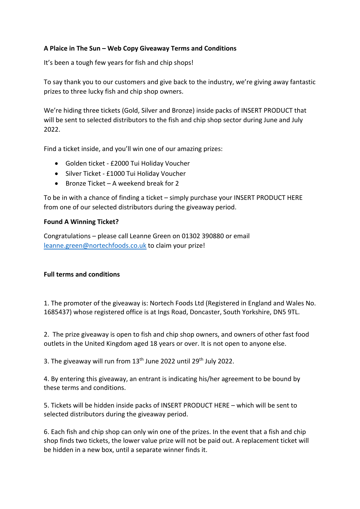## **A Plaice in The Sun – Web Copy Giveaway Terms and Conditions**

It's been a tough few years for fish and chip shops!

To say thank you to our customers and give back to the industry, we're giving away fantastic prizes to three lucky fish and chip shop owners.

We're hiding three tickets (Gold, Silver and Bronze) inside packs of INSERT PRODUCT that will be sent to selected distributors to the fish and chip shop sector during June and July 2022.

Find a ticket inside, and you'll win one of our amazing prizes:

- Golden ticket £2000 Tui Holiday Voucher
- Silver Ticket £1000 Tui Holiday Voucher
- Bronze Ticket A weekend break for 2

To be in with a chance of finding a ticket – simply purchase your INSERT PRODUCT HERE from one of our selected distributors during the giveaway period.

## **Found A Winning Ticket?**

Congratulations – please call Leanne Green on 01302 390880 or email leanne.green@nortechfoods.co.uk to claim your prize!

## **Full terms and conditions**

1. The promoter of the giveaway is: Nortech Foods Ltd (Registered in England and Wales No. 1685437) whose registered office is at Ings Road, Doncaster, South Yorkshire, DN5 9TL.

2. The prize giveaway is open to fish and chip shop owners, and owners of other fast food outlets in the United Kingdom aged 18 years or over. It is not open to anyone else.

3. The giveaway will run from 13<sup>th</sup> June 2022 until 29<sup>th</sup> July 2022.

4. By entering this giveaway, an entrant is indicating his/her agreement to be bound by these terms and conditions.

5. Tickets will be hidden inside packs of INSERT PRODUCT HERE – which will be sent to selected distributors during the giveaway period.

6. Each fish and chip shop can only win one of the prizes. In the event that a fish and chip shop finds two tickets, the lower value prize will not be paid out. A replacement ticket will be hidden in a new box, until a separate winner finds it.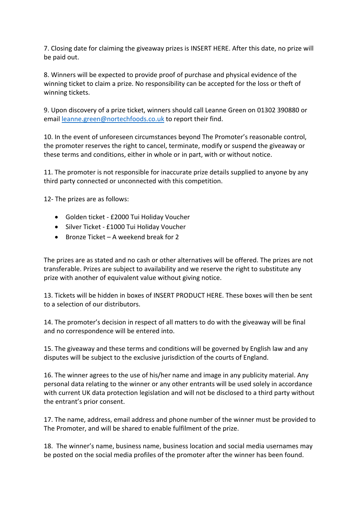7. Closing date for claiming the giveaway prizes is INSERT HERE. After this date, no prize will be paid out.

8. Winners will be expected to provide proof of purchase and physical evidence of the winning ticket to claim a prize. No responsibility can be accepted for the loss or theft of winning tickets.

9. Upon discovery of a prize ticket, winners should call Leanne Green on 01302 390880 or email leanne.green@nortechfoods.co.uk to report their find.

10. In the event of unforeseen circumstances beyond The Promoter's reasonable control, the promoter reserves the right to cancel, terminate, modify or suspend the giveaway or these terms and conditions, either in whole or in part, with or without notice.

11. The promoter is not responsible for inaccurate prize details supplied to anyone by any third party connected or unconnected with this competition.

12- The prizes are as follows:

- Golden ticket £2000 Tui Holiday Voucher
- Silver Ticket £1000 Tui Holiday Voucher
- Bronze Ticket A weekend break for 2

The prizes are as stated and no cash or other alternatives will be offered. The prizes are not transferable. Prizes are subject to availability and we reserve the right to substitute any prize with another of equivalent value without giving notice.

13. Tickets will be hidden in boxes of INSERT PRODUCT HERE. These boxes will then be sent to a selection of our distributors.

14. The promoter's decision in respect of all matters to do with the giveaway will be final and no correspondence will be entered into.

15. The giveaway and these terms and conditions will be governed by English law and any disputes will be subject to the exclusive jurisdiction of the courts of England.

16. The winner agrees to the use of his/her name and image in any publicity material. Any personal data relating to the winner or any other entrants will be used solely in accordance with current UK data protection legislation and will not be disclosed to a third party without the entrant's prior consent.

17. The name, address, email address and phone number of the winner must be provided to The Promoter, and will be shared to enable fulfilment of the prize.

18. The winner's name, business name, business location and social media usernames may be posted on the social media profiles of the promoter after the winner has been found.